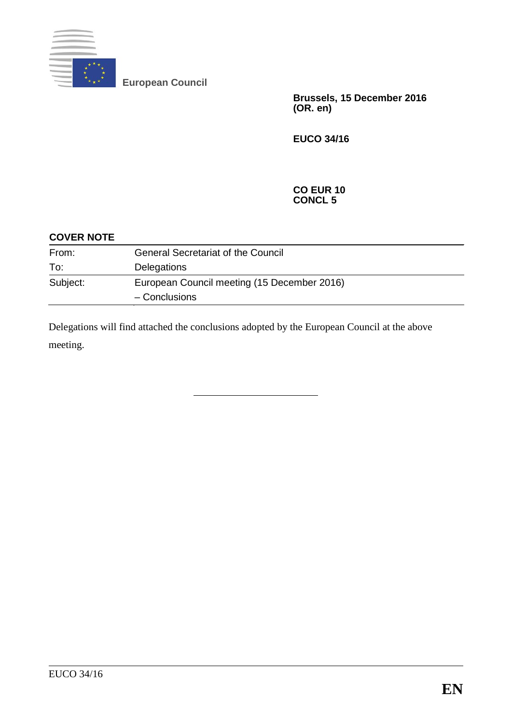

**European Council**

**Brussels, 15 December 2016 (OR. en)**

**EUCO 34/16**

#### **CO EUR 10 CONCL 5**

| <b>COVER NOTE</b> |                                             |
|-------------------|---------------------------------------------|
| From:             | <b>General Secretariat of the Council</b>   |
| To:               | Delegations                                 |
| Subject:          | European Council meeting (15 December 2016) |
|                   | - Conclusions                               |

Delegations will find attached the conclusions adopted by the European Council at the above meeting.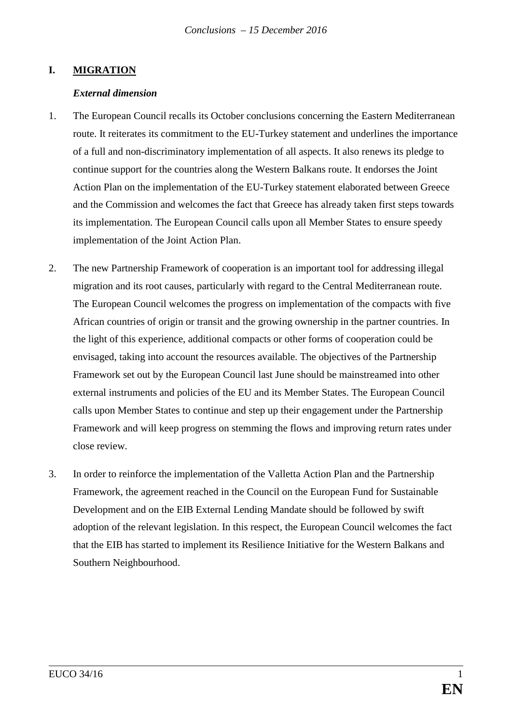## **I. MIGRATION**

#### *External dimension*

- 1. The European Council recalls its October conclusions concerning the Eastern Mediterranean route. It reiterates its commitment to the EU-Turkey statement and underlines the importance of a full and non-discriminatory implementation of all aspects. It also renews its pledge to continue support for the countries along the Western Balkans route. It endorses the Joint Action Plan on the implementation of the EU-Turkey statement elaborated between Greece and the Commission and welcomes the fact that Greece has already taken first steps towards its implementation. The European Council calls upon all Member States to ensure speedy implementation of the Joint Action Plan.
- 2. The new Partnership Framework of cooperation is an important tool for addressing illegal migration and its root causes, particularly with regard to the Central Mediterranean route. The European Council welcomes the progress on implementation of the compacts with five African countries of origin or transit and the growing ownership in the partner countries. In the light of this experience, additional compacts or other forms of cooperation could be envisaged, taking into account the resources available. The objectives of the Partnership Framework set out by the European Council last June should be mainstreamed into other external instruments and policies of the EU and its Member States. The European Council calls upon Member States to continue and step up their engagement under the Partnership Framework and will keep progress on stemming the flows and improving return rates under close review.
- 3. In order to reinforce the implementation of the Valletta Action Plan and the Partnership Framework, the agreement reached in the Council on the European Fund for Sustainable Development and on the EIB External Lending Mandate should be followed by swift adoption of the relevant legislation. In this respect, the European Council welcomes the fact that the EIB has started to implement its Resilience Initiative for the Western Balkans and Southern Neighbourhood.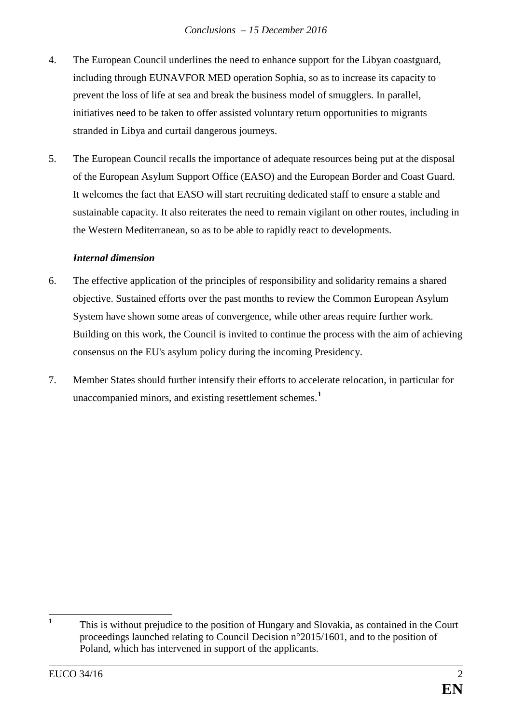- 4. The European Council underlines the need to enhance support for the Libyan coastguard, including through EUNAVFOR MED operation Sophia, so as to increase its capacity to prevent the loss of life at sea and break the business model of smugglers. In parallel, initiatives need to be taken to offer assisted voluntary return opportunities to migrants stranded in Libya and curtail dangerous journeys.
- 5. The European Council recalls the importance of adequate resources being put at the disposal of the European Asylum Support Office (EASO) and the European Border and Coast Guard. It welcomes the fact that EASO will start recruiting dedicated staff to ensure a stable and sustainable capacity. It also reiterates the need to remain vigilant on other routes, including in the Western Mediterranean, so as to be able to rapidly react to developments.

## *Internal dimension*

- 6. The effective application of the principles of responsibility and solidarity remains a shared objective. Sustained efforts over the past months to review the Common European Asylum System have shown some areas of convergence, while other areas require further work. Building on this work, the Council is invited to continue the process with the aim of achieving consensus on the EU's asylum policy during the incoming Presidency.
- 7. Member States should further intensify their efforts to accelerate relocation, in particular for unaccompanied minors, and existing resettlement schemes.**[1](#page-2-0)**

<span id="page-2-0"></span><sup>&</sup>lt;sup>1</sup> This is without prejudice to the position of Hungary and Slovakia, as contained in the Court proceedings launched relating to Council Decision n°2015/1601, and to the position of Poland, which has intervened in support of the applicants.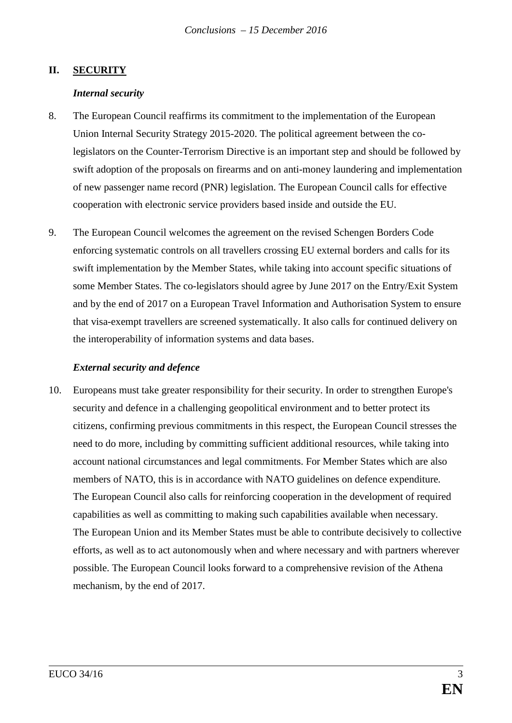### **II. SECURITY**

#### *Internal security*

- 8. The European Council reaffirms its commitment to the implementation of the European Union Internal Security Strategy 2015-2020. The political agreement between the colegislators on the Counter-Terrorism Directive is an important step and should be followed by swift adoption of the proposals on firearms and on anti-money laundering and implementation of new passenger name record (PNR) legislation. The European Council calls for effective cooperation with electronic service providers based inside and outside the EU.
- 9. The European Council welcomes the agreement on the revised Schengen Borders Code enforcing systematic controls on all travellers crossing EU external borders and calls for its swift implementation by the Member States, while taking into account specific situations of some Member States. The co-legislators should agree by June 2017 on the Entry/Exit System and by the end of 2017 on a European Travel Information and Authorisation System to ensure that visa-exempt travellers are screened systematically. It also calls for continued delivery on the interoperability of information systems and data bases.

#### *External security and defence*

10. Europeans must take greater responsibility for their security. In order to strengthen Europe's security and defence in a challenging geopolitical environment and to better protect its citizens, confirming previous commitments in this respect, the European Council stresses the need to do more, including by committing sufficient additional resources, while taking into account national circumstances and legal commitments. For Member States which are also members of NATO, this is in accordance with NATO guidelines on defence expenditure*.*  The European Council also calls for reinforcing cooperation in the development of required capabilities as well as committing to making such capabilities available when necessary. The European Union and its Member States must be able to contribute decisively to collective efforts, as well as to act autonomously when and where necessary and with partners wherever possible. The European Council looks forward to a comprehensive revision of the Athena mechanism, by the end of 2017.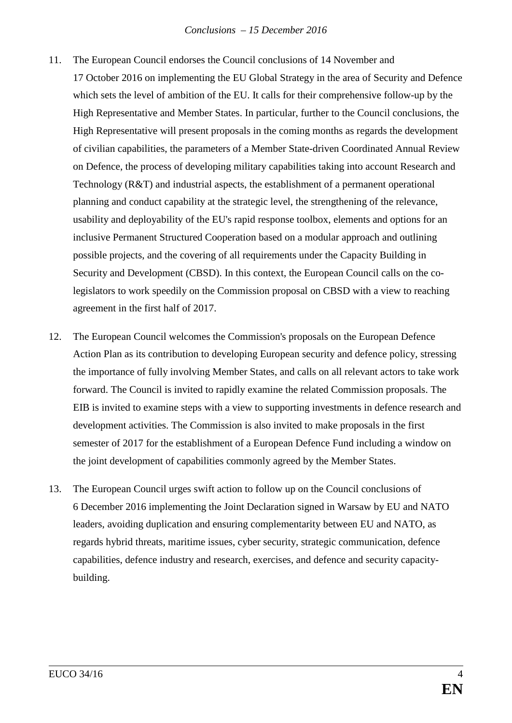- 11. The European Council endorses the Council conclusions of 14 November and
	- 17 October 2016 on implementing the EU Global Strategy in the area of Security and Defence which sets the level of ambition of the EU. It calls for their comprehensive follow-up by the High Representative and Member States. In particular, further to the Council conclusions, the High Representative will present proposals in the coming months as regards the development of civilian capabilities, the parameters of a Member State-driven Coordinated Annual Review on Defence, the process of developing military capabilities taking into account Research and Technology (R&T) and industrial aspects, the establishment of a permanent operational planning and conduct capability at the strategic level, the strengthening of the relevance, usability and deployability of the EU's rapid response toolbox, elements and options for an inclusive Permanent Structured Cooperation based on a modular approach and outlining possible projects, and the covering of all requirements under the Capacity Building in Security and Development (CBSD). In this context, the European Council calls on the colegislators to work speedily on the Commission proposal on CBSD with a view to reaching agreement in the first half of 2017.
- 12. The European Council welcomes the Commission's proposals on the European Defence Action Plan as its contribution to developing European security and defence policy, stressing the importance of fully involving Member States, and calls on all relevant actors to take work forward. The Council is invited to rapidly examine the related Commission proposals. The EIB is invited to examine steps with a view to supporting investments in defence research and development activities. The Commission is also invited to make proposals in the first semester of 2017 for the establishment of a European Defence Fund including a window on the joint development of capabilities commonly agreed by the Member States.
- 13. The European Council urges swift action to follow up on the Council conclusions of 6 December 2016 implementing the Joint Declaration signed in Warsaw by EU and NATO leaders, avoiding duplication and ensuring complementarity between EU and NATO, as regards hybrid threats, maritime issues, cyber security, strategic communication, defence capabilities, defence industry and research, exercises, and defence and security capacitybuilding.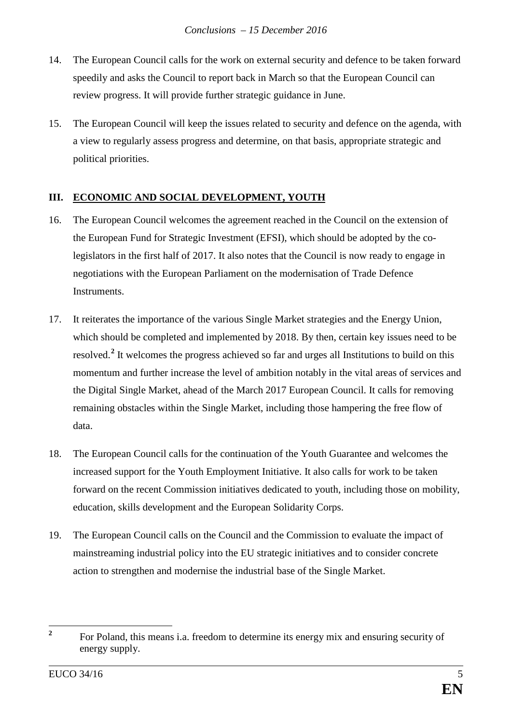- 14. The European Council calls for the work on external security and defence to be taken forward speedily and asks the Council to report back in March so that the European Council can review progress. It will provide further strategic guidance in June.
- 15. The European Council will keep the issues related to security and defence on the agenda, with a view to regularly assess progress and determine, on that basis, appropriate strategic and political priorities.

# **III. ECONOMIC AND SOCIAL DEVELOPMENT, YOUTH**

- 16. The European Council welcomes the agreement reached in the Council on the extension of the European Fund for Strategic Investment (EFSI), which should be adopted by the colegislators in the first half of 2017. It also notes that the Council is now ready to engage in negotiations with the European Parliament on the modernisation of Trade Defence Instruments.
- 17. It reiterates the importance of the various Single Market strategies and the Energy Union, which should be completed and implemented by 2018. By then, certain key issues need to be resolved. **[2](#page-5-0)** It welcomes the progress achieved so far and urges all Institutions to build on this momentum and further increase the level of ambition notably in the vital areas of services and the Digital Single Market, ahead of the March 2017 European Council. It calls for removing remaining obstacles within the Single Market, including those hampering the free flow of data.
- 18. The European Council calls for the continuation of the Youth Guarantee and welcomes the increased support for the Youth Employment Initiative. It also calls for work to be taken forward on the recent Commission initiatives dedicated to youth, including those on mobility, education, skills development and the European Solidarity Corps.
- 19. The European Council calls on the Council and the Commission to evaluate the impact of mainstreaming industrial policy into the EU strategic initiatives and to consider concrete action to strengthen and modernise the industrial base of the Single Market.

<span id="page-5-0"></span><sup>&</sup>lt;sup>2</sup> For Poland, this means i.a. freedom to determine its energy mix and ensuring security of energy supply.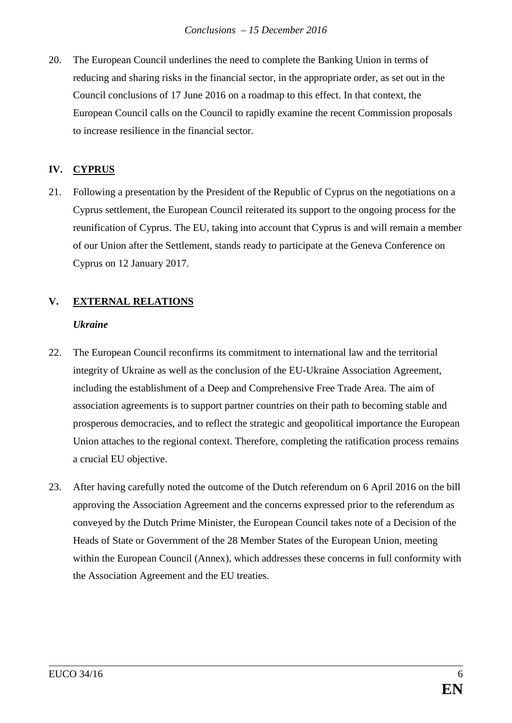20. The European Council underlines the need to complete the Banking Union in terms of reducing and sharing risks in the financial sector, in the appropriate order, as set out in the Council conclusions of 17 June 2016 on a roadmap to this effect. In that context, the European Council calls on the Council to rapidly examine the recent Commission proposals to increase resilience in the financial sector.

## **IV. CYPRUS**

21. Following a presentation by the President of the Republic of Cyprus on the negotiations on a Cyprus settlement, the European Council reiterated its support to the ongoing process for the reunification of Cyprus. The EU, taking into account that Cyprus is and will remain a member of our Union after the Settlement, stands ready to participate at the Geneva Conference on Cyprus on 12 January 2017.

# **V. EXTERNAL RELATIONS**

### *Ukraine*

- 22. The European Council reconfirms its commitment to international law and the territorial integrity of Ukraine as well as the conclusion of the EU-Ukraine Association Agreement, including the establishment of a Deep and Comprehensive Free Trade Area. The aim of association agreements is to support partner countries on their path to becoming stable and prosperous democracies, and to reflect the strategic and geopolitical importance the European Union attaches to the regional context. Therefore, completing the ratification process remains a crucial EU objective.
- 23. After having carefully noted the outcome of the Dutch referendum on 6 April 2016 on the bill approving the Association Agreement and the concerns expressed prior to the referendum as conveyed by the Dutch Prime Minister, the European Council takes note of a Decision of the Heads of State or Government of the 28 Member States of the European Union, meeting within the European Council (Annex), which addresses these concerns in full conformity with the Association Agreement and the EU treaties.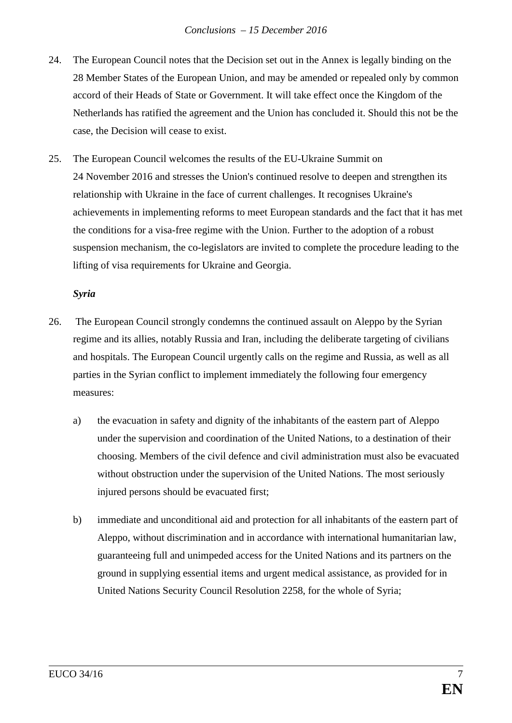- 24. The European Council notes that the Decision set out in the Annex is legally binding on the 28 Member States of the European Union, and may be amended or repealed only by common accord of their Heads of State or Government. It will take effect once the Kingdom of the Netherlands has ratified the agreement and the Union has concluded it. Should this not be the case, the Decision will cease to exist.
- 25. The European Council welcomes the results of the EU-Ukraine Summit on 24 November 2016 and stresses the Union's continued resolve to deepen and strengthen its relationship with Ukraine in the face of current challenges. It recognises Ukraine's achievements in implementing reforms to meet European standards and the fact that it has met the conditions for a visa-free regime with the Union. Further to the adoption of a robust suspension mechanism, the co-legislators are invited to complete the procedure leading to the lifting of visa requirements for Ukraine and Georgia.

## *Syria*

- 26. The European Council strongly condemns the continued assault on Aleppo by the Syrian regime and its allies, notably Russia and Iran, including the deliberate targeting of civilians and hospitals. The European Council urgently calls on the regime and Russia, as well as all parties in the Syrian conflict to implement immediately the following four emergency measures:
	- a) the evacuation in safety and dignity of the inhabitants of the eastern part of Aleppo under the supervision and coordination of the United Nations, to a destination of their choosing. Members of the civil defence and civil administration must also be evacuated without obstruction under the supervision of the United Nations. The most seriously injured persons should be evacuated first;
	- b) immediate and unconditional aid and protection for all inhabitants of the eastern part of Aleppo, without discrimination and in accordance with international humanitarian law, guaranteeing full and unimpeded access for the United Nations and its partners on the ground in supplying essential items and urgent medical assistance, as provided for in United Nations Security Council Resolution 2258, for the whole of Syria;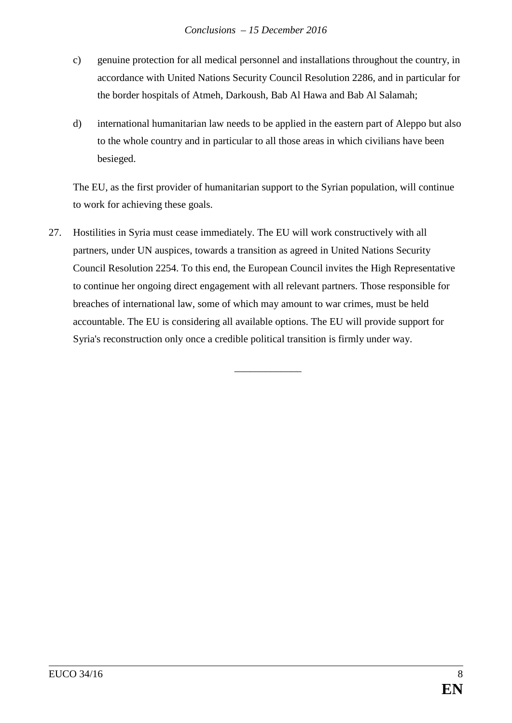- c) genuine protection for all medical personnel and installations throughout the country, in accordance with United Nations Security Council Resolution 2286, and in particular for the border hospitals of Atmeh, Darkoush, Bab Al Hawa and Bab Al Salamah;
- d) international humanitarian law needs to be applied in the eastern part of Aleppo but also to the whole country and in particular to all those areas in which civilians have been besieged.

The EU, as the first provider of humanitarian support to the Syrian population, will continue to work for achieving these goals.

27. Hostilities in Syria must cease immediately. The EU will work constructively with all partners, under UN auspices, towards a transition as agreed in United Nations Security Council Resolution 2254. To this end, the European Council invites the High Representative to continue her ongoing direct engagement with all relevant partners. Those responsible for breaches of international law, some of which may amount to war crimes, must be held accountable. The EU is considering all available options. The EU will provide support for Syria's reconstruction only once a credible political transition is firmly under way.

\_\_\_\_\_\_\_\_\_\_\_\_\_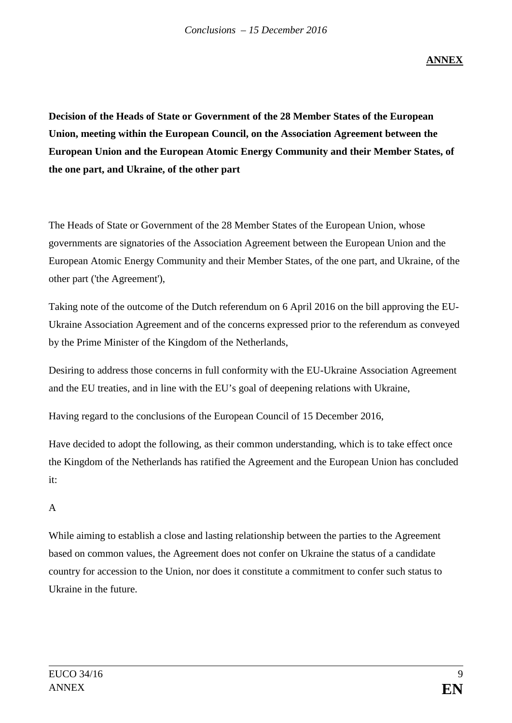**ANNEX**

**Decision of the Heads of State or Government of the 28 Member States of the European Union, meeting within the European Council, on the Association Agreement between the European Union and the European Atomic Energy Community and their Member States, of the one part, and Ukraine, of the other part**

The Heads of State or Government of the 28 Member States of the European Union, whose governments are signatories of the Association Agreement between the European Union and the European Atomic Energy Community and their Member States, of the one part, and Ukraine, of the other part ('the Agreement'),

Taking note of the outcome of the Dutch referendum on 6 April 2016 on the bill approving the EU-Ukraine Association Agreement and of the concerns expressed prior to the referendum as conveyed by the Prime Minister of the Kingdom of the Netherlands,

Desiring to address those concerns in full conformity with the EU-Ukraine Association Agreement and the EU treaties, and in line with the EU's goal of deepening relations with Ukraine,

Having regard to the conclusions of the European Council of 15 December 2016,

Have decided to adopt the following, as their common understanding, which is to take effect once the Kingdom of the Netherlands has ratified the Agreement and the European Union has concluded it:

## A

While aiming to establish a close and lasting relationship between the parties to the Agreement based on common values, the Agreement does not confer on Ukraine the status of a candidate country for accession to the Union, nor does it constitute a commitment to confer such status to Ukraine in the future.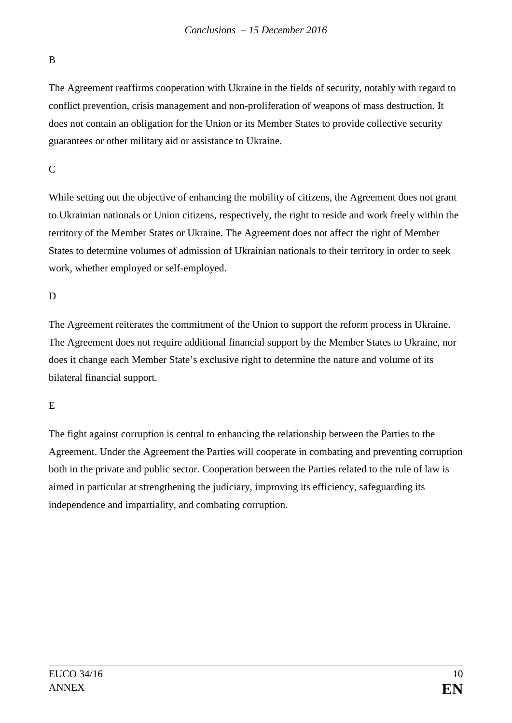## B

The Agreement reaffirms cooperation with Ukraine in the fields of security, notably with regard to conflict prevention, crisis management and non-proliferation of weapons of mass destruction. It does not contain an obligation for the Union or its Member States to provide collective security guarantees or other military aid or assistance to Ukraine.

## $\overline{C}$

While setting out the objective of enhancing the mobility of citizens, the Agreement does not grant to Ukrainian nationals or Union citizens, respectively, the right to reside and work freely within the territory of the Member States or Ukraine. The Agreement does not affect the right of Member States to determine volumes of admission of Ukrainian nationals to their territory in order to seek work, whether employed or self-employed.

# D

The Agreement reiterates the commitment of the Union to support the reform process in Ukraine. The Agreement does not require additional financial support by the Member States to Ukraine, nor does it change each Member State's exclusive right to determine the nature and volume of its bilateral financial support.

# E

The fight against corruption is central to enhancing the relationship between the Parties to the Agreement. Under the Agreement the Parties will cooperate in combating and preventing corruption both in the private and public sector. Cooperation between the Parties related to the rule of law is aimed in particular at strengthening the judiciary, improving its efficiency, safeguarding its independence and impartiality, and combating corruption.